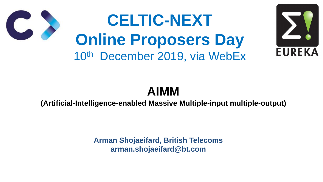## **AIMM (Artificial-Intelligence-enabled Massive Multiple-input multiple-output)**





**Arman Shojaeifard, British Telecoms arman.shojaeifard@bt.com**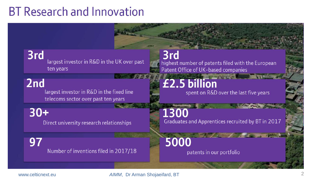## **BT Research and Innovation**

3rd largest investor in R&D in the UK over past ten years

2nd largest investor in R&D in the fixed line telecoms sector over past ten years

 $30+$ Direct university research relationships

Number of inventions filed in 2017/18

www.celticnext.eu *AIMM*, Dr Arman Shojaeifard, BT <sup>2</sup>

### 3rd highest number of patents filed with the European Patent Office of UK-based companies

### £2.5 billion spent on R&D over the last five years

1300 Graduates and Apprentices recruited by BT in 2017

5000

patents in our portfolio

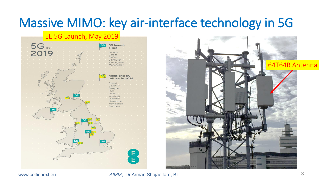

# Massive MIMO: key air-interface technology in 5G





www.celticnext.eu *AIMM*, Dr Arman Shojaeifard, BT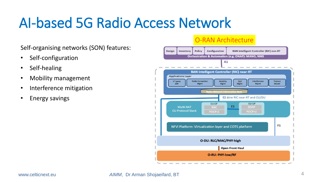# AI-based 5G Radio Access Network

### O-RAN Architecture



- Self-configuration
- Self-healing
- Mobility management
- Interference mitigation
- Energy savings

Self-organising networks (SON) features: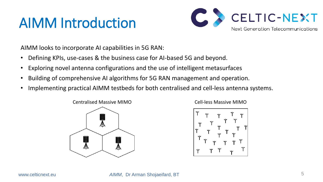# AIMM Introduction

AIMM looks to incorporate AI capabilities in 5G RAN:

- Defining KPIs, use-cases & the business case for AI-based 5G and beyond.
- Exploring novel antenna configurations and the use of intelligent metasurfaces
- Building of comprehensive AI algorithms for 5G RAN management and operation.
- Implementing practical AIMM testbeds for both centralised and cell-less antenna systems.



www.celticnext.eu *AIMM*, Dr Arman Shojaeifard, BT



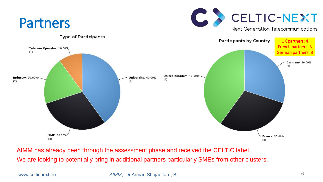

AIMM has already been through the assessment phase and received the CELTIC label. We are looking to potentially bring in additional partners particularly SMEs from other clusters.

www.celticnext.eu *AIMM*, Dr Arman Shojaeifard, BT 6